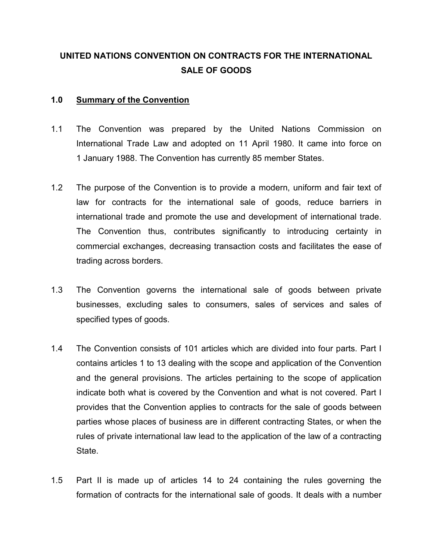## UNITED NATIONS CONVENTION ON CONTRACTS FOR THE INTERNATIONAL SALE OF GOODS

## 1.0 Summary of the Convention

- 1.1 The Convention was prepared by the United Nations Commission on International Trade Law and adopted on 11 April 1980. It came into force on 1 January 1988. The Convention has currently 85 member States.
- 1.2 The purpose of the Convention is to provide a modern, uniform and fair text of law for contracts for the international sale of goods, reduce barriers in international trade and promote the use and development of international trade. The Convention thus, contributes significantly to introducing certainty in commercial exchanges, decreasing transaction costs and facilitates the ease of trading across borders.
- 1.3 The Convention governs the international sale of goods between private businesses, excluding sales to consumers, sales of services and sales of specified types of goods.
- 1.4 The Convention consists of 101 articles which are divided into four parts. Part I contains articles 1 to 13 dealing with the scope and application of the Convention and the general provisions. The articles pertaining to the scope of application indicate both what is covered by the Convention and what is not covered. Part I provides that the Convention applies to contracts for the sale of goods between parties whose places of business are in different contracting States, or when the rules of private international law lead to the application of the law of a contracting State.
- 1.5 Part II is made up of articles 14 to 24 containing the rules governing the formation of contracts for the international sale of goods. It deals with a number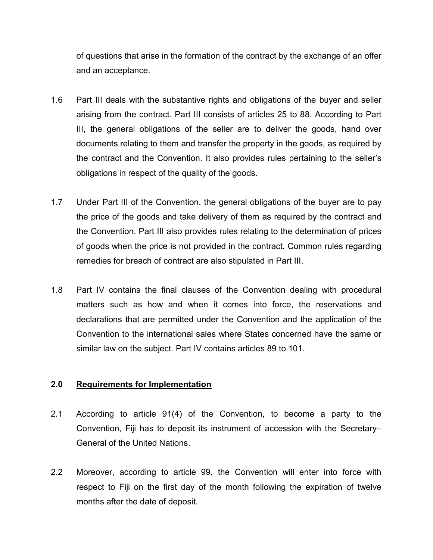of questions that arise in the formation of the contract by the exchange of an offer and an acceptance.

- 1.6 Part III deals with the substantive rights and obligations of the buyer and seller arising from the contract. Part III consists of articles 25 to 88. According to Part III, the general obligations of the seller are to deliver the goods, hand over documents relating to them and transfer the property in the goods, as required by the contract and the Convention. It also provides rules pertaining to the seller's obligations in respect of the quality of the goods.
- 1.7 Under Part III of the Convention, the general obligations of the buyer are to pay the price of the goods and take delivery of them as required by the contract and the Convention. Part III also provides rules relating to the determination of prices of goods when the price is not provided in the contract. Common rules regarding remedies for breach of contract are also stipulated in Part III.
- 1.8 Part IV contains the final clauses of the Convention dealing with procedural matters such as how and when it comes into force, the reservations and declarations that are permitted under the Convention and the application of the Convention to the international sales where States concerned have the same or similar law on the subject. Part IV contains articles 89 to 101.

## 2.0 Requirements for Implementation

- 2.1 According to article 91(4) of the Convention, to become a party to the Convention, Fiji has to deposit its instrument of accession with the Secretary– General of the United Nations.
- 2.2 Moreover, according to article 99, the Convention will enter into force with respect to Fiji on the first day of the month following the expiration of twelve months after the date of deposit.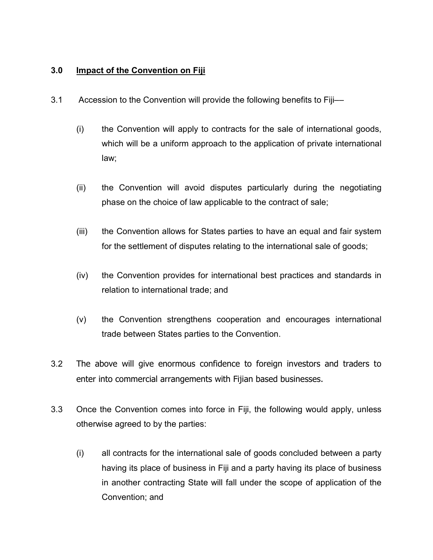## 3.0 Impact of the Convention on Fiji

- 3.1 Accession to the Convention will provide the following benefits to Fiji––
	- (i) the Convention will apply to contracts for the sale of international goods, which will be a uniform approach to the application of private international law;
	- (ii) the Convention will avoid disputes particularly during the negotiating phase on the choice of law applicable to the contract of sale;
	- (iii) the Convention allows for States parties to have an equal and fair system for the settlement of disputes relating to the international sale of goods;
	- (iv) the Convention provides for international best practices and standards in relation to international trade; and
	- (v) the Convention strengthens cooperation and encourages international trade between States parties to the Convention.
- 3.2 The above will give enormous confidence to foreign investors and traders to enter into commercial arrangements with Fijian based businesses.
- 3.3 Once the Convention comes into force in Fiji, the following would apply, unless otherwise agreed to by the parties:
	- (i) all contracts for the international sale of goods concluded between a party having its place of business in Fiji and a party having its place of business in another contracting State will fall under the scope of application of the Convention; and